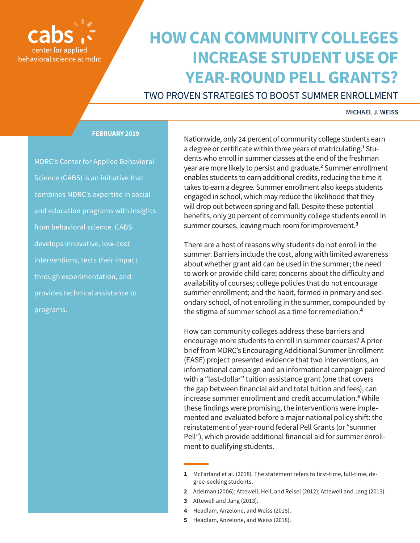## behavioral science at mdrc

### **HOW CAN COMMUNITY COLLEGES INCREASE STUDENT USE OF YEAR-ROUND PELL GRANTS?**

TWO PROVEN STRATEGIES TO BOOST SUMMER ENROLLMENT

#### **MICHAEL J. WEISS**

#### **FEBRUARY 2019**

MDRC's Center for Applied Behavioral Science (CABS) is an initiative that combines MDRC's expertise in social and education programs with insights from behavioral science. CABS develops innovative, low-cost interventions, tests their impact through experimentation, and provides technical assistance to programs.

Nationwide, only 24 percent of community college students earn a degree or certificate within three years of matriculating.**<sup>1</sup>** Students who enroll in summer classes at the end of the freshman year are more likely to persist and graduate.**<sup>2</sup>** Summer enrollment enables students to earn additional credits, reducing the time it takes to earn a degree. Summer enrollment also keeps students engaged in school, which may reduce the likelihood that they will drop out between spring and fall. Despite these potential benefits, only 30 percent of community college students enroll in summer courses, leaving much room for improvement.**<sup>3</sup>**

There are a host of reasons why students do not enroll in the summer. Barriers include the cost, along with limited awareness about whether grant aid can be used in the summer; the need to work or provide child care; concerns about the difficulty and availability of courses; college policies that do not encourage summer enrollment; and the habit, formed in primary and secondary school, of not enrolling in the summer, compounded by the stigma of summer school as a time for remediation.**<sup>4</sup>**

How can community colleges address these barriers and encourage more students to enroll in summer courses? A prior brief from MDRC's Encouraging Additional Summer Enrollment (EASE) project presented evidence that two interventions, an informational campaign and an informational campaign paired with a "last-dollar" tuition assistance grant (one that covers the gap between financial aid and total tuition and fees), can increase summer enrollment and credit accumulation.**<sup>5</sup>** While these findings were promising, the interventions were implemented and evaluated before a major national policy shift: the reinstatement of year-round federal Pell Grants (or "summer Pell"), which provide additional financial aid for summer enrollment to qualifying students.

- **2** Adelman (2006); Attewell, Heil, and Reisel (2012); Attewell and Jang (2013).
- **3** Attewell and Jang (2013).
- **4** Headlam, Anzelone, and Weiss (2018).
- **5** Headlam, Anzelone, and Weiss (2018).

**<sup>1</sup>** McFarland et al. (2018). The statement refers to first-time, full-time, degree-seeking students.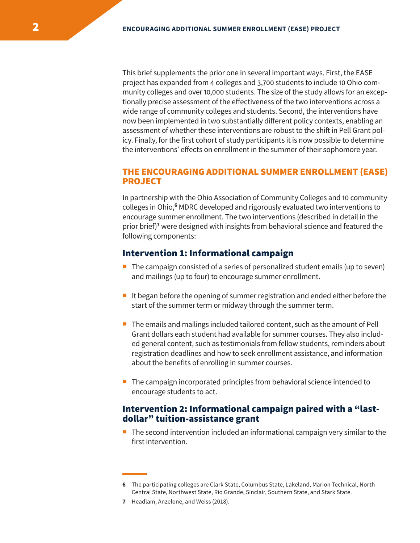This brief supplements the prior one in several important ways. First, the EASE project has expanded from 4 colleges and 3,700 students to include 10 Ohio community colleges and over 10,000 students. The size of the study allows for an exceptionally precise assessment of the effectiveness of the two interventions across a wide range of community colleges and students. Second, the interventions have now been implemented in two substantially different policy contexts, enabling an assessment of whether these interventions are robust to the shift in Pell Grant policy. Finally, for the first cohort of study participants it is now possible to determine the interventions' effects on enrollment in the summer of their sophomore year.

#### THE ENCOURAGING ADDITIONAL SUMMER ENROLLMENT (EASE) PROJECT

In partnership with the Ohio Association of Community Colleges and 10 community colleges in Ohio,**<sup>6</sup>** MDRC developed and rigorously evaluated two interventions to encourage summer enrollment. The two interventions (described in detail in the prior brief)**<sup>7</sup>** were designed with insights from behavioral science and featured the following components:

#### Intervention 1: Informational campaign

- $\blacksquare$  The campaign consisted of a series of personalized student emails (up to seven) and mailings (up to four) to encourage summer enrollment.
- I It began before the opening of summer registration and ended either before the start of the summer term or midway through the summer term.
- The emails and mailings included tailored content, such as the amount of Pell Grant dollars each student had available for summer courses. They also included general content, such as testimonials from fellow students, reminders about registration deadlines and how to seek enrollment assistance, and information about the benefits of enrolling in summer courses.
- The campaign incorporated principles from behavioral science intended to encourage students to act.

#### Intervention 2: Informational campaign paired with a "lastdollar" tuition-assistance grant

**The second intervention included an informational campaign very similar to the** first intervention.

**<sup>6</sup>** The participating colleges are Clark State, Columbus State, Lakeland, Marion Technical, North Central State, Northwest State, Rio Grande, Sinclair, Southern State, and Stark State.

**<sup>7</sup>** Headlam, Anzelone, and Weiss (2018).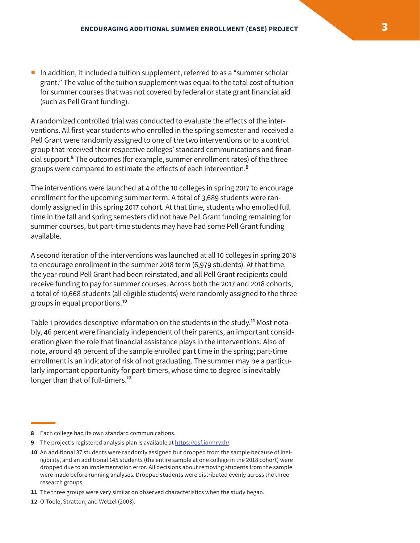In addition, it included a tuition supplement, referred to as a "summer scholar" grant." The value of the tuition supplement was equal to the total cost of tuition for summer courses that was not covered by federal or state grant financial aid (such as Pell Grant funding).

A randomized controlled trial was conducted to evaluate the effects of the interventions. All first-year students who enrolled in the spring semester and received a Pell Grant were randomly assigned to one of the two interventions or to a control group that received their respective colleges' standard communications and financial support.**<sup>8</sup>** The outcomes (for example, summer enrollment rates) of the three groups were compared to estimate the effects of each intervention.**<sup>9</sup>**

The interventions were launched at 4 of the 10 colleges in spring 2017 to encourage enrollment for the upcoming summer term. A total of 3,689 students were randomly assigned in this spring 2017 cohort. At that time, students who enrolled full time in the fall and spring semesters did not have Pell Grant funding remaining for summer courses, but part-time students may have had some Pell Grant funding available.

A second iteration of the interventions was launched at all 10 colleges in spring 2018 to encourage enrollment in the summer 2018 term (6,979 students). At that time, the year-round Pell Grant had been reinstated, and all Pell Grant recipients could receive funding to pay for summer courses. Across both the 2017 and 2018 cohorts, a total of 10,668 students (all eligible students) were randomly assigned to the three groups in equal proportions.**<sup>10</sup>**

Table 1 provides descriptive information on the students in the study.**<sup>11</sup>** Most notably, 46 percent were financially independent of their parents, an important consideration given the role that financial assistance plays in the interventions. Also of note, around 49 percent of the sample enrolled part time in the spring; part-time enrollment is an indicator of risk of not graduating. The summer may be a particularly important opportunity for part-timers, whose time to degree is inevitably longer than that of full-timers.**<sup>12</sup>**

**<sup>8</sup>** Each college had its own standard communications.

**<sup>9</sup>** The project's registered analysis plan is available at https://osf.io/mryxh/.

**<sup>10</sup>** An additional 37 students were randomly assigned but dropped from the sample because of ineligibility, and an additional 145 students (the entire sample at one college in the 2018 cohort) were dropped due to an implementation error. All decisions about removing students from the sample were made before running analyses. Dropped students were distributed evenly across the three research groups.

**<sup>11</sup>** The three groups were very similar on observed characteristics when the study began.

**<sup>12</sup>** O'Toole, Stratton, and Wetzel (2003).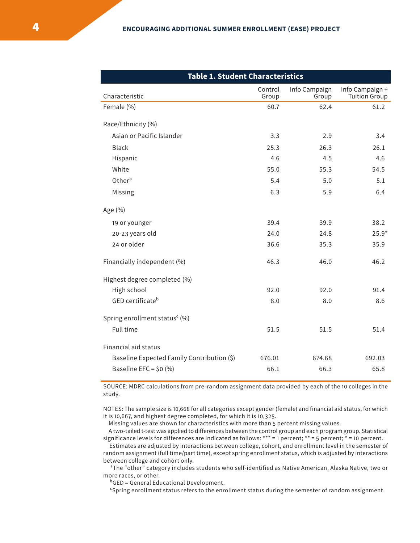| <b>Table 1. Student Characteristics</b>    |                  |                        |                                  |
|--------------------------------------------|------------------|------------------------|----------------------------------|
| Characteristic                             | Control<br>Group | Info Campaign<br>Group | Info Campaign +<br>Tuition Group |
| Female (%)                                 | 60.7             | 62.4                   | 61.2                             |
| Race/Ethnicity (%)                         |                  |                        |                                  |
| Asian or Pacific Islander                  | 3.3              | 2.9                    | 3.4                              |
| <b>Black</b>                               | 25.3             | 26.3                   | 26.1                             |
| Hispanic                                   | 4.6              | 4.5                    | 4.6                              |
| White                                      | 55.0             | 55.3                   | 54.5                             |
| Other <sup>a</sup>                         | 5.4              | 5.0                    | 5.1                              |
| Missing                                    | 6.3              | 5.9                    | 6.4                              |
| Age (%)                                    |                  |                        |                                  |
| 19 or younger                              | 39.4             | 39.9                   | 38.2                             |
| 20-23 years old                            | 24.0             | 24.8                   | $25.9*$                          |
| 24 or older                                | 36.6             | 35.3                   | 35.9                             |
| Financially independent (%)                | 46.3             | 46.0                   | 46.2                             |
| Highest degree completed (%)               |                  |                        |                                  |
| High school                                | 92.0             | 92.0                   | 91.4                             |
| GED certificate <sup>b</sup>               | 8.0              | 8.0                    | 8.6                              |
| Spring enrollment status <sup>c</sup> (%)  |                  |                        |                                  |
| Full time                                  | 51.5             | 51.5                   | 51.4                             |
| Financial aid status                       |                  |                        |                                  |
| Baseline Expected Family Contribution (\$) | 676.01           | 674.68                 | 692.03                           |
| Baseline EFC = $$0 (%)$                    | 66.1             | 66.3                   | 65.8                             |

SOURCE: MDRC calculations from pre-random assignment data provided by each of the 10 colleges in the study.

NOTES: The sample size is 10,668 for all categories except gender (female) and financial aid status, for which it is 10,667, and highest degree completed, for which it is 10,325.

Missing values are shown for characteristics with more than 5 percent missing values.

 A two-tailed t-test was applied to differences between the control group and each program group. Statistical significance levels for differences are indicated as follows: \*\*\* = 1 percent; \*\* = 5 percent; \* = 10 percent.

 Estimates are adjusted by interactions between college, cohort, and enrollment level in the semester of random assignment (full time/part time), except spring enrollment status, which is adjusted by interactions between college and cohort only.

<sup>a</sup>The "other" category includes students who self-identified as Native American, Alaska Native, two or more races, or other.

ᵇGED = General Educational Development.

ᶜSpring enrollment status refers to the enrollment status during the semester of random assignment.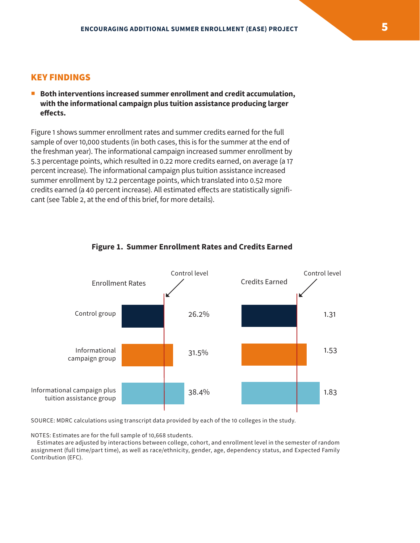#### KEY FINDINGS

■ Both interventions increased summer enrollment and credit accumulation, **with the informational campaign plus tuition assistance producing larger effects.**

Figure 1 shows summer enrollment rates and summer credits earned for the full sample of over 10,000 students (in both cases, this is for the summer at the end of the freshman year). The informational campaign increased summer enrollment by 5.3 percentage points, which resulted in 0.22 more credits earned, on average (a 17 percent increase). The informational campaign plus tuition assistance increased summer enrollment by 12.2 percentage points, which translated into 0.52 more credits earned (a 40 percent increase). All estimated effects are statistically significant (see Table 2, at the end of this brief, for more details).



#### **Figure 1. Summer Enrollment Rates and Credits Earned**

SOURCE: MDRC calculations using transcript data provided by each of the 10 colleges in the study.

NOTES: Estimates are for the full sample of 10,668 students.

 Estimates are adjusted by interactions between college, cohort, and enrollment level in the semester of random assignment (full time/part time), as well as race/ethnicity, gender, age, dependency status, and Expected Family Contribution (EFC).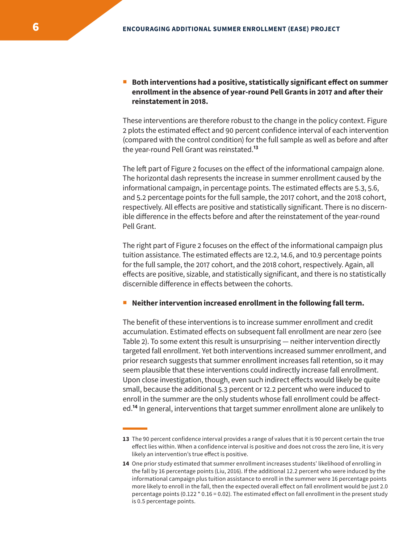#### **Both interventions had a positive, statistically significant effect on summer enrollment in the absence of year-round Pell Grants in 2017 and after their reinstatement in 2018.**

These interventions are therefore robust to the change in the policy context. Figure 2 plots the estimated effect and 90 percent confidence interval of each intervention (compared with the control condition) for the full sample as well as before and after the year-round Pell Grant was reinstated.**<sup>13</sup>**

The left part of Figure 2 focuses on the effect of the informational campaign alone. The horizontal dash represents the increase in summer enrollment caused by the informational campaign, in percentage points. The estimated effects are 5.3, 5.6, and 5.2 percentage points for the full sample, the 2017 cohort, and the 2018 cohort, respectively. All effects are positive and statistically significant. There is no discernible difference in the effects before and after the reinstatement of the year-round Pell Grant.

The right part of Figure 2 focuses on the effect of the informational campaign plus tuition assistance. The estimated effects are 12.2, 14.6, and 10.9 percentage points for the full sample, the 2017 cohort, and the 2018 cohort, respectively. Again, all effects are positive, sizable, and statistically significant, and there is no statistically discernible difference in effects between the cohorts.

#### **Neither intervention increased enrollment in the following fall term.**

The benefit of these interventions is to increase summer enrollment and credit accumulation. Estimated effects on subsequent fall enrollment are near zero (see Table 2). To some extent this result is unsurprising — neither intervention directly targeted fall enrollment. Yet both interventions increased summer enrollment, and prior research suggests that summer enrollment increases fall retention, so it may seem plausible that these interventions could indirectly increase fall enrollment. Upon close investigation, though, even such indirect effects would likely be quite small, because the additional 5.3 percent or 12.2 percent who were induced to enroll in the summer are the only students whose fall enrollment could be affected.**<sup>14</sup>** In general, interventions that target summer enrollment alone are unlikely to

**<sup>13</sup>** The 90 percent confidence interval provides a range of values that it is 90 percent certain the true effect lies within. When a confidence interval is positive and does not cross the zero line, it is very likely an intervention's true effect is positive.

**<sup>14</sup>** One prior study estimated that summer enrollment increases students' likelihood of enrolling in the fall by 16 percentage points (Liu, 2016). If the additional 12.2 percent who were induced by the informational campaign plus tuition assistance to enroll in the summer were 16 percentage points more likely to enroll in the fall, then the expected overall effect on fall enrollment would be just 2.0 percentage points (0.122 \* 0.16 = 0.02). The estimated effect on fall enrollment in the present study is 0.5 percentage points.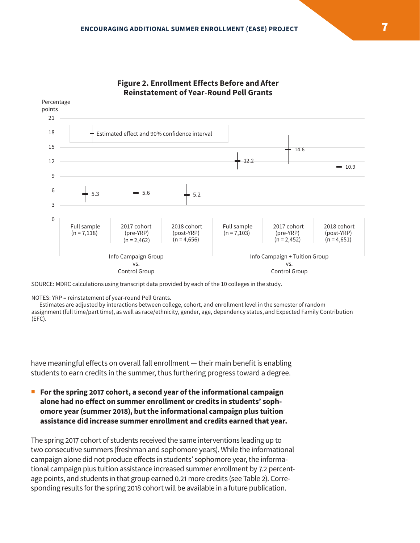

#### **Figure 2. Enrollment Effects Before and After Reinstatement of Year-Round Pell Grants**

SOURCE: MDRC calculations using transcript data provided by each of the 10 colleges in the study.

NOTES: YRP = reinstatement of year-round Pell Grants.

Estimates are adjusted by interactions between college, cohort, and enrollment level in the semester of random assignment (full time/part time), as well as race/ethnicity, gender, age, dependency status, and Expected Family Contribution (EFC).

have meaningful effects on overall fall enrollment — their main benefit is enabling students to earn credits in the summer, thus furthering progress toward a degree.

 **For the spring 2017 cohort, a second year of the informational campaign alone had no effect on summer enrollment or credits in students' sophomore year (summer 2018), but the informational campaign plus tuition assistance did increase summer enrollment and credits earned that year.**

The spring 2017 cohort of students received the same interventions leading up to two consecutive summers (freshman and sophomore years). While the informational campaign alone did not produce effects in students' sophomore year, the informational campaign plus tuition assistance increased summer enrollment by 7.2 percentage points, and students in that group earned 0.21 more credits (see Table 2). Corresponding results for the spring 2018 cohort will be available in a future publication.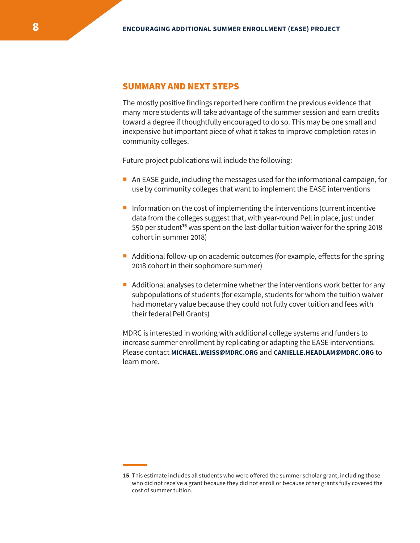#### SUMMARY AND NEXT STEPS

The mostly positive findings reported here confirm the previous evidence that many more students will take advantage of the summer session and earn credits toward a degree if thoughtfully encouraged to do so. This may be one small and inexpensive but important piece of what it takes to improve completion rates in community colleges.

Future project publications will include the following:

- An EASE guide, including the messages used for the informational campaign, for use by community colleges that want to implement the EASE interventions
- **Information on the cost of implementing the interventions (current incentive** data from the colleges suggest that, with year-round Pell in place, just under \$50 per student**<sup>15</sup>** was spent on the last-dollar tuition waiver for the spring 2018 cohort in summer 2018)
- Additional follow-up on academic outcomes (for example, effects for the spring 2018 cohort in their sophomore summer)
- Additional analyses to determine whether the interventions work better for any subpopulations of students (for example, students for whom the tuition waiver had monetary value because they could not fully cover tuition and fees with their federal Pell Grants)

MDRC is interested in working with additional college systems and funders to increase summer enrollment by replicating or adapting the EASE interventions. Please contact **MICHAEL.WEISS@MDRC.ORG** and **CAMIELLE.HEADLAM@MDRC.ORG** to learn more.

**<sup>15</sup>** This estimate includes all students who were offered the summer scholar grant, including those who did not receive a grant because they did not enroll or because other grants fully covered the cost of summer tuition.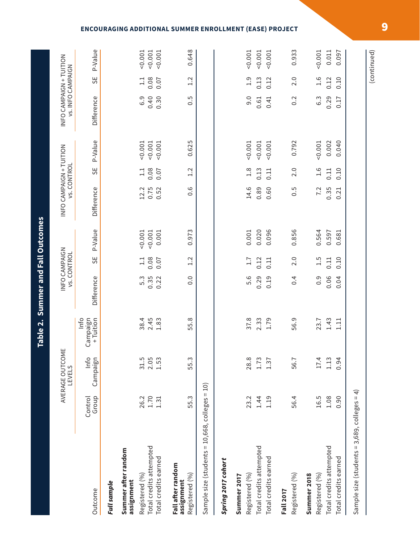|                                                   |                  | AVERAGE OUTCOME<br>LEVELS |                                 |                  | INFO CAMPAIGN<br><b>vs. CONTROL</b> |                | INFO CAMPAIGN + TUITION | <b>vs. CONTROL</b> |                | INFO CAMPAIGN + TUITION<br><b>VS. INFO CAMPAIGN</b> |                |                |
|---------------------------------------------------|------------------|---------------------------|---------------------------------|------------------|-------------------------------------|----------------|-------------------------|--------------------|----------------|-----------------------------------------------------|----------------|----------------|
| Outcome                                           | Group<br>Control | Info<br>Campaign          | Info<br>Campaign<br>$+$ Tuition | Difference       | SE                                  | P-Value        | Difference              | SΕ                 | P-Value        | Difference                                          | 55             | P-Value        |
| Full sample                                       |                  |                           |                                 |                  |                                     |                |                         |                    |                |                                                     |                |                |
| Summer after random<br>assignment                 |                  |                           |                                 |                  |                                     |                |                         |                    |                |                                                     |                |                |
| Registered (%)                                    | 26.2             | 31.5                      | 38.4                            | 5.3              | $\frac{1}{1}$                       | 0.001          | 12.2                    | $\frac{1}{1}$      | 0.001          | 6.9                                                 | $\frac{1}{11}$ | 0.001          |
| Total credits attempted<br>Total credits earned   | 1.70<br>1.31     | 2.05<br>1.53              | 2.45<br>1.83                    | 0.35<br>0.22     | 0.08<br>0.07                        | 0.001<br>0.001 | 0.75<br>0.52            | 0.08<br>0.07       | 0.001<br>0.001 | 0.40<br>0.30                                        | 0.08<br>0.07   | 0.001<br>0.001 |
| Fall after random<br>Registered (%)<br>assignment | 55.3             | 55.3                      | 55.8                            | $\overline{0}$ . | 1.2                                 | 0.973          | 0.6                     | 1.2                | 0.625          | 0.5                                                 | 1.2            | 0.648          |
| Sample size (students = 10,668, colleges = 10)    |                  |                           |                                 |                  |                                     |                |                         |                    |                |                                                     |                |                |
| Spring 2017 cohort                                |                  |                           |                                 |                  |                                     |                |                         |                    |                |                                                     |                |                |
| Summer 2017                                       |                  |                           |                                 |                  |                                     |                |                         |                    |                |                                                     |                |                |
| Registered (%)                                    | 23.2             | 28.8                      | 37.8                            | 5.6              | 1.7                                 | 0.001          | 14.6                    | 1.8                | 0.001          | 9.0                                                 | 1.9            | 0.001          |
| Total credits attempted                           | 1.44             | 1.73                      | 2.33                            | 0.29             | 0.12                                | 0.020          | 0.89                    | 0.13               | 0.001          | 0.61                                                | 0.13           | 0.001          |
| Total credits earned                              | 1.19             | 1.37                      | 1.79                            | 0.19             | 0.11                                | 0.096          | 0.60                    | 0.11               | 0.001          | 0.41                                                | 0.12           | 0.001          |
| <b>Fall 2017</b>                                  |                  |                           |                                 |                  |                                     |                |                         |                    |                |                                                     |                |                |
| Registered (%)                                    | 56.4             | 56.7                      | 56.9                            | 0.4              | 2.0                                 | 0.856          | 0.5                     | 2.0                | 0.792          | 0.2                                                 | 2.0            | 0.933          |
| Summer 2018                                       |                  |                           |                                 |                  |                                     |                |                         |                    |                |                                                     |                |                |
| Registered (%)                                    | 16.5             | 17.4                      | 23.7                            | 0.9              | 1.5                                 | 0.564          | 7.2                     | 1.6                | 0.001          | $6.\overline{3}$                                    | 1.6            | 0.001          |
| Total credits attempted                           | 1.08             | 1.13                      | 1.43                            | 0.06             | 0.11                                | 0.597          | 0.35                    | 0.11               | 0.002          | 0.29                                                | 0.12           | 0.011          |
| Total credits earned                              | 0.90             | 0.94                      | 1.11                            | 0.04             | 0.10                                | 0.681          | 0.21                    | 0.10               | 0.040          | 0.17                                                | 0.10           | 0.097          |
| Sample size (students = 3,689, colleges = 4)      |                  |                           |                                 |                  |                                     |                |                         |                    |                |                                                     |                |                |
|                                                   |                  |                           |                                 |                  |                                     |                |                         |                    |                |                                                     |                |                |

# Table 2. Summer and Fall Outcomes **Table 2. Summer and Fall Outcomes**

#### **ENCOURAGING ADDITIONAL SUMMER ENROLLMENT (EASE) PROJECT**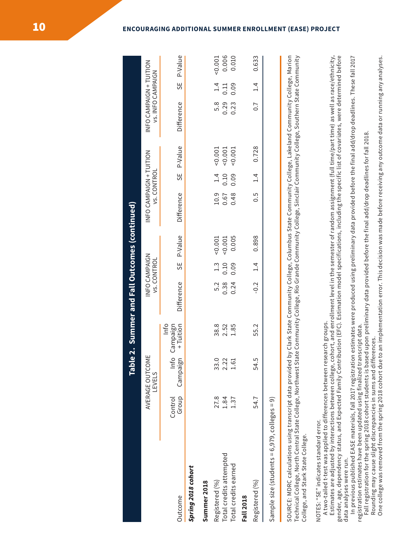|                                                                                                                                                                                                                                                                                                                                                                                                                                                                                                                                                                                                                                                                                      |                  | <b>JdsT</b>                          |                               | e 2. Summer and Fall Outcomes (continued)                                                                 |                                     |                |                     |                    |                |                                                     |               |                |
|--------------------------------------------------------------------------------------------------------------------------------------------------------------------------------------------------------------------------------------------------------------------------------------------------------------------------------------------------------------------------------------------------------------------------------------------------------------------------------------------------------------------------------------------------------------------------------------------------------------------------------------------------------------------------------------|------------------|--------------------------------------|-------------------------------|-----------------------------------------------------------------------------------------------------------|-------------------------------------|----------------|---------------------|--------------------|----------------|-----------------------------------------------------|---------------|----------------|
|                                                                                                                                                                                                                                                                                                                                                                                                                                                                                                                                                                                                                                                                                      |                  | ш<br>AVERAGE OUTCOM<br><b>LEVELS</b> |                               |                                                                                                           | INFO CAMPAIGN<br><b>vs. CONTROL</b> |                | NEO CAMPAIGNTUITION | <b>vs. CONTROL</b> |                | INFO CAMPAIGN + TUITION<br><b>VS. INFO CAMPAIGN</b> |               |                |
| Outcome                                                                                                                                                                                                                                                                                                                                                                                                                                                                                                                                                                                                                                                                              | Group<br>Control | Info<br>Campaign                     | Info<br>+ Tuition<br>Campaign | Difference                                                                                                | SΕ                                  | P-Value        | Difference          | SE                 | P-Value        | Difference                                          | SE            | P-Value        |
| Spring 2018 cohort                                                                                                                                                                                                                                                                                                                                                                                                                                                                                                                                                                                                                                                                   |                  |                                      |                               |                                                                                                           |                                     |                |                     |                    |                |                                                     |               |                |
| Summer 2018                                                                                                                                                                                                                                                                                                                                                                                                                                                                                                                                                                                                                                                                          |                  |                                      |                               |                                                                                                           |                                     |                |                     |                    |                |                                                     |               |                |
| Registered (%)                                                                                                                                                                                                                                                                                                                                                                                                                                                                                                                                                                                                                                                                       | 27.8             | 33(                                  | 38.8                          | 5.2                                                                                                       | $1.\overline{3}$                    | 0.001          | 10.9                | 1.4                | 0.001          | 5.8                                                 | 1.4           | 0.001          |
| Total credits attempted<br>Total credits earned                                                                                                                                                                                                                                                                                                                                                                                                                                                                                                                                                                                                                                      | 1.84<br>1.37     | 2.22<br>$-1.61$                      | 2.52<br>1.85                  | 0.38<br>0.24                                                                                              | 0.10<br>0.09                        | 0.005<br>0.001 | 0.48<br>0.67        | 0.10<br>0.09       | 0.001<br>0.001 | 0.29<br>0.23                                        | 0.09<br>0.11  | 0.006<br>0.010 |
| <b>Fall 2018</b>                                                                                                                                                                                                                                                                                                                                                                                                                                                                                                                                                                                                                                                                     |                  |                                      |                               |                                                                                                           |                                     |                |                     |                    |                |                                                     |               |                |
| Registered (%)                                                                                                                                                                                                                                                                                                                                                                                                                                                                                                                                                                                                                                                                       | 54.7             | 54.5                                 | 55.2                          | $-0.2$                                                                                                    | $\frac{1}{4}$                       | 0.898          | 5.O                 | $\frac{4}{1}$      | 0.728          | $\overline{0}$ .7                                   | $\frac{1}{4}$ | 0.633          |
| Sample size (students = 6,979, colleges = 9)                                                                                                                                                                                                                                                                                                                                                                                                                                                                                                                                                                                                                                         |                  |                                      |                               |                                                                                                           |                                     |                |                     |                    |                |                                                     |               |                |
| SOURCE: MDRC calculations using transcript data provided by Clark State Community College, Columbus State Community College, Lakeland Community College, Marion<br>Technical College, North Central State College, Northwest St<br>College, and Stark State College.                                                                                                                                                                                                                                                                                                                                                                                                                 |                  |                                      |                               | ate Community College, Rio Grande Community College, Sinclair Community College, Southern State Community |                                     |                |                     |                    |                |                                                     |               |                |
| Estimates are adjusted by interactions between college, cohort, and enrollment level in the semester of random assignment (full time/part time) as well as race/ethnicity,<br>gender, age, dependency status, and Expected Family Contribution (EFC). Estimation model specifications, including the specific list of covariates, were determined before<br>In previous published EASE materials, fall 2017 registration estimates were produced using preliminary data provided before the final add/drop deadlines. These fall 2017<br>A two-tailed t-test was applied to differences between research groups.<br>NOTES: "SE" indicates standard error.<br>data analyses were run. |                  |                                      |                               |                                                                                                           |                                     |                |                     |                    |                |                                                     |               |                |

registration estimates have been updated using finalized transcript data.<br>Fall registration for the spring 2018 cohort students is based upon preliminary data provided before the final add/drop deadlines for fall 2018.<br>Rou Fall registration for the spring 2018 cohort students is based upon preliminary data provided before the final add/drop deadlines for fall 2018. registration estimates have been updated using finalized transcript data.

Rounding may cause slight discrepancies in sums and differences.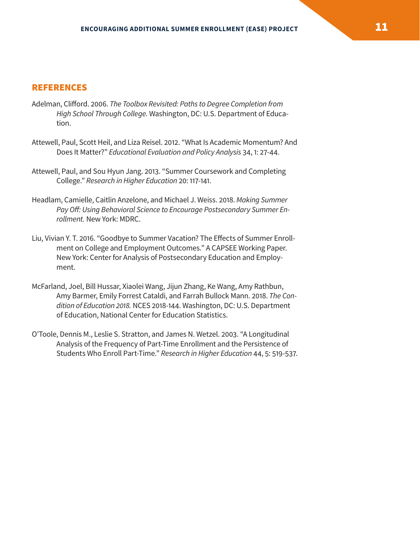#### **REFERENCES**

- Adelman, Clifford. 2006. *The Toolbox Revisited: Paths to Degree Completion from High School Through College.* Washington, DC: U.S. Department of Education.
- Attewell, Paul, Scott Heil, and Liza Reisel. 2012. "What Is Academic Momentum? And Does It Matter?" *Educational Evaluation and Policy Analysis* 34, 1: 27-44.
- Attewell, Paul, and Sou Hyun Jang. 2013. "Summer Coursework and Completing College." *Research in Higher Education* 20: 117-141.
- Headlam, Camielle, Caitlin Anzelone, and Michael J. Weiss. 2018. *Making Summer Pay Off: Using Behavioral Science to Encourage Postsecondary Summer Enrollment.* New York: MDRC.
- Liu, Vivian Y. T. 2016. "Goodbye to Summer Vacation? The Effects of Summer Enrollment on College and Employment Outcomes." A CAPSEE Working Paper. New York: Center for Analysis of Postsecondary Education and Employment.
- McFarland, Joel, Bill Hussar, Xiaolei Wang, Jijun Zhang, Ke Wang, Amy Rathbun, Amy Barmer, Emily Forrest Cataldi, and Farrah Bullock Mann. 2018. *The Condition of Education 2018.* NCES 2018-144. Washington, DC: U.S. Department of Education, National Center for Education Statistics.
- O'Toole, Dennis M., Leslie S. Stratton, and James N. Wetzel. 2003. "A Longitudinal Analysis of the Frequency of Part-Time Enrollment and the Persistence of Students Who Enroll Part-Time." *Research in Higher Education* 44, 5: 519-537.